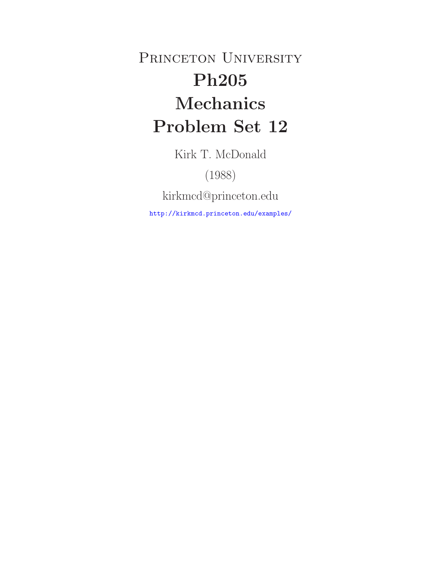PRINCETON UNIVERSITY **Ph205 Problem Set 12 Problem Set 122** 

Kirk T. McDonald

(1988)

kirkmcd@princeton.edu

http://kirkmcd.princeton.edu/examples/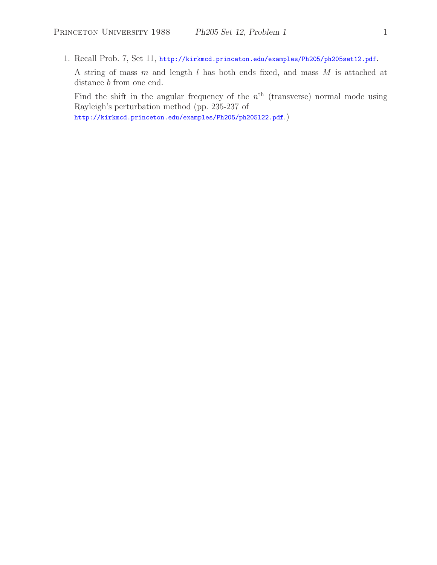1. Recall Prob. 7, Set 11, http://kirkmcd.princeton.edu/examples/Ph205/ph205set12.pdf.

A string of mass m and length l has both ends fixed, and mass M is attached at distance *b* from one end.

Find the shift in the angular frequency of the  $n<sup>th</sup>$  (transverse) normal mode using Rayleigh's perturbation method (pp. 235-237 of

http://kirkmcd.princeton.edu/examples/Ph205/ph205l22.pdf.)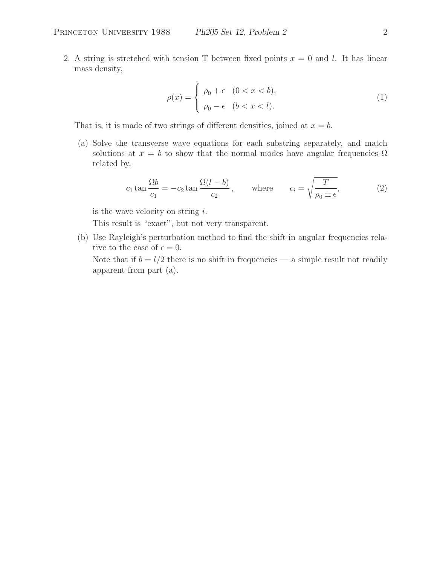2. A string is stretched with tension T between fixed points  $x = 0$  and l. It has linear mass density,

$$
\rho(x) = \begin{cases} \rho_0 + \epsilon & (0 < x < b), \\ \rho_0 - \epsilon & (b < x < l). \end{cases}
$$
 (1)

That is, it is made of two strings of different densities, joined at  $x = b$ .

(a) Solve the transverse wave equations for each substring separately, and match solutions at  $x = b$  to show that the normal modes have angular frequencies  $\Omega$ related by,

$$
c_1 \tan \frac{\Omega b}{c_1} = -c_2 \tan \frac{\Omega (l-b)}{c_2}, \quad \text{where} \quad c_i = \sqrt{\frac{T}{\rho_0 \pm \epsilon}}, \quad (2)
$$

is the wave velocity on string  $i$ .

This result is "exact", but not very transparent.

(b) Use Rayleigh's perturbation method to find the shift in angular frequencies relative to the case of  $\epsilon = 0$ .

Note that if  $b = l/2$  there is no shift in frequencies — a simple result not readily apparent from part (a).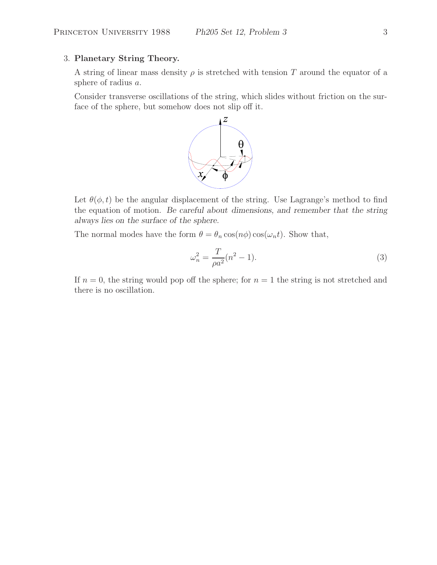### 3. **Planetary String Theory.**

A string of linear mass density  $\rho$  is stretched with tension T around the equator of a sphere of radius a.

Consider transverse oscillations of the string, which slides without friction on the surface of the sphere, but somehow does not slip off it.



Let  $\theta(\phi, t)$  be the angular displacement of the string. Use Lagrange's method to find the equation of motion. *Be careful about dimensions, and remember that the string always lies on the surface of the sphere.*

The normal modes have the form  $\theta = \theta_n \cos(n\phi) \cos(\omega_n t)$ . Show that,

$$
\omega_n^2 = \frac{T}{\rho a^2} (n^2 - 1).
$$
 (3)

If  $n = 0$ , the string would pop off the sphere; for  $n = 1$  the string is not stretched and there is no oscillation.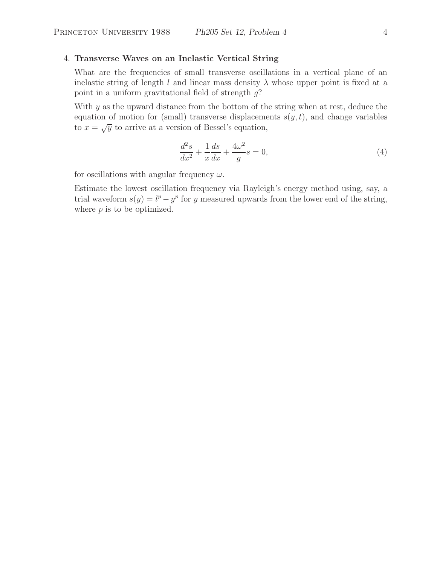## 4. **Transverse Waves on an Inelastic Vertical String**

What are the frequencies of small transverse oscillations in a vertical plane of an inelastic string of length l and linear mass density  $\lambda$  whose upper point is fixed at a point in a uniform gravitational field of strength  $q$ ?

With  $y$  as the upward distance from the bottom of the string when at rest, deduce the equation of motion for (small) transverse displacements  $s(y, t)$ , and change variables to  $x = \sqrt{y}$  to arrive at a version of Bessel's equation,

$$
\frac{d^2s}{dx^2} + \frac{1}{x}\frac{ds}{dx} + \frac{4\omega^2}{g}s = 0,
$$
\n(4)

for oscillations with angular frequency  $\omega$ .

Estimate the lowest oscillation frequency via Rayleigh's energy method using, say, a trial waveform  $s(y) = l^p - y^p$  for y measured upwards from the lower end of the string, where  $p$  is to be optimized.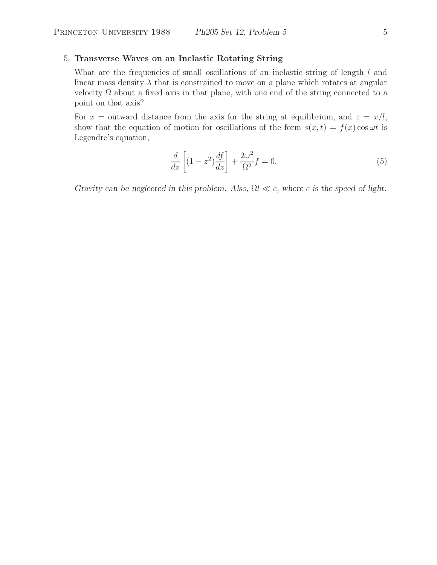## 5. **Transverse Waves on an Inelastic Rotating String**

What are the frequencies of small oscillations of an inelastic string of length l and linear mass density  $\lambda$  that is constrained to move on a plane which rotates at angular velocity  $\Omega$  about a fixed axis in that plane, with one end of the string connected to a point on that axis?

For  $x =$  outward distance from the axis for the string at equilibrium, and  $z = x/l$ , show that the equation of motion for oscillations of the form  $s(x, t) = f(x) \cos \omega t$  is Legendre's equation,

$$
\frac{d}{dz}\left[ (1-z^2)\frac{df}{dz} \right] + \frac{2\omega^2}{\Omega^2}f = 0.
$$
\n(5)

*Gravity can be neglected in this problem. Also,*  $\Omega l \ll c$ , where *c is the speed of light.*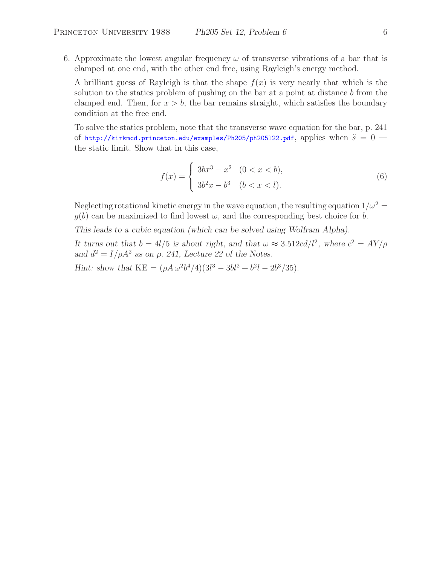6. Approximate the lowest angular frequency  $\omega$  of transverse vibrations of a bar that is clamped at one end, with the other end free, using Rayleigh's energy method.

A brilliant guess of Rayleigh is that the shape  $f(x)$  is very nearly that which is the solution to the statics problem of pushing on the bar at a point at distance  $b$  from the clamped end. Then, for  $x > b$ , the bar remains straight, which satisfies the boundary condition at the free end.

To solve the statics problem, note that the transverse wave equation for the bar, p. 241 of http://kirkmcd.princeton.edu/examples/Ph205/ph205122.pdf, applies when  $\ddot{s} = 0$  the static limit. Show that in this case,

$$
f(x) = \begin{cases} 3bx^3 - x^2 & (0 < x < b), \\ 3b^2x - b^3 & (b < x < l). \end{cases}
$$
 (6)

Neglecting rotational kinetic energy in the wave equation, the resulting equation  $1/\omega^2 =$  $g(b)$  can be maximized to find lowest  $\omega$ , and the corresponding best choice for b.

*This leads to a cubic equation (which can be solved using Wolfram Alpha).*

*It turns out that*  $b = 4l/5$  *is about right, and that*  $\omega \approx 3.512 \text{cd}/l^2$ *, where*  $c^2 = AY/\rho$ *and*  $d^2 = I/\rho A^2$  *as on p. 241, Lecture 22 of the Notes.* 

*Hint:* show that  $KE = (\rho A \omega^2 b^4 / 4)(3l^3 - 3bl^2 + b^2l - 2b^3 / 35)$ .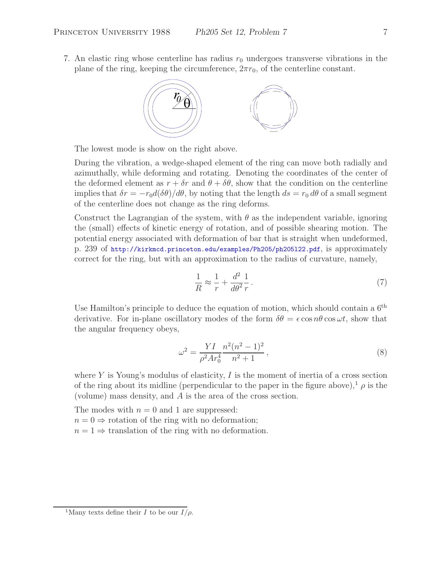7. An elastic ring whose centerline has radius  $r_0$  undergoes transverse vibrations in the plane of the ring, keeping the circumference,  $2\pi r_0$ , of the centerline constant.



The lowest mode is show on the right above.

During the vibration, a wedge-shaped element of the ring can move both radially and azimuthally, while deforming and rotating. Denoting the coordinates of the center of the deformed element as  $r + \delta r$  and  $\theta + \delta \theta$ , show that the condition on the centerline implies that  $\delta r = -r_0 d(\delta \theta)/d\theta$ , by noting that the length  $ds = r_0 d\theta$  of a small segment of the centerline does not change as the ring deforms.

Construct the Lagrangian of the system, with  $\theta$  as the independent variable, ignoring the (small) effects of kinetic energy of rotation, and of possible shearing motion. The potential energy associated with deformation of bar that is straight when undeformed, p. 239 of http://kirkmcd.princeton.edu/examples/Ph205/ph205l22.pdf, is approximately correct for the ring, but with an approximation to the radius of curvature, namely,

$$
\frac{1}{R} \approx \frac{1}{r} + \frac{d^2}{d\theta^2} \frac{1}{r} \,. \tag{7}
$$

Use Hamilton's principle to deduce the equation of motion, which should contain a  $6<sup>th</sup>$ derivative. For in-plane oscillatory modes of the form  $\delta\theta = \epsilon \cos n\theta \cos \omega t$ , show that the angular frequency obeys,

$$
\omega^2 = \frac{YI}{\rho^2 Ar_0^4} \frac{n^2 (n^2 - 1)^2}{n^2 + 1},\tag{8}
$$

where Y is Young's modulus of elasticity,  $I$  is the moment of inertia of a cross section of the ring about its midline (perpendicular to the paper in the figure above),<sup>1</sup>  $\rho$  is the (volume) mass density, and A is the area of the cross section.

The modes with  $n = 0$  and 1 are suppressed:  $n = 0 \Rightarrow$  rotation of the ring with no deformation;

 $n = 1 \Rightarrow$  translation of the ring with no deformation.

<sup>&</sup>lt;sup>1</sup>Many texts define their *I* to be our  $I/\rho$ .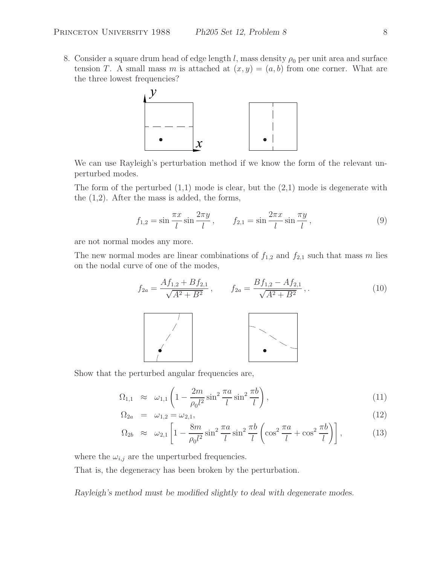8. Consider a square drum head of edge length l, mass density  $\rho_0$  per unit area and surface tension T. A small mass m is attached at  $(x, y)=(a, b)$  from one corner. What are the three lowest frequencies?



We can use Rayleigh's perturbation method if we know the form of the relevant unperturbed modes.

The form of the perturbed  $(1,1)$  mode is clear, but the  $(2,1)$  mode is degenerate with the (1,2). After the mass is added, the forms,

$$
f_{1,2} = \sin \frac{\pi x}{l} \sin \frac{2\pi y}{l}, \qquad f_{2,1} = \sin \frac{2\pi x}{l} \sin \frac{\pi y}{l}, \tag{9}
$$

are not normal modes any more.

The new normal modes are linear combinations of  $f_{1,2}$  and  $f_{2,1}$  such that mass m lies on the nodal curve of one of the modes,

$$
f_{2a} = \frac{Af_{1,2} + Bf_{2,1}}{\sqrt{A^2 + B^2}}, \qquad f_{2a} = \frac{Bf_{1,2} - Af_{2,1}}{\sqrt{A^2 + B^2}}, \qquad (10)
$$

Show that the perturbed angular frequencies are,

$$
\Omega_{1,1} \approx \omega_{1,1} \left( 1 - \frac{2m}{\rho_0 l^2} \sin^2 \frac{\pi a}{l} \sin^2 \frac{\pi b}{l} \right),\tag{11}
$$

$$
\Omega_{2a} = \omega_{1,2} = \omega_{2,1}, \tag{12}
$$

$$
\Omega_{2b} \approx \omega_{2,1} \left[ 1 - \frac{8m}{\rho_0 l^2} \sin^2 \frac{\pi a}{l} \sin^2 \frac{\pi b}{l} \left( \cos^2 \frac{\pi a}{l} + \cos^2 \frac{\pi b}{l} \right) \right],\tag{13}
$$

where the  $\omega_{i,j}$  are the unperturbed frequencies.

That is, the degeneracy has been broken by the perturbation.

*Rayleigh's method must be modified slightly to deal with degenerate modes.*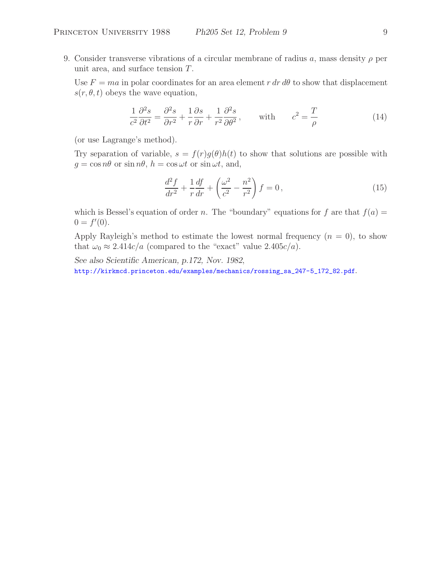9. Consider transverse vibrations of a circular membrane of radius a, mass density  $\rho$  per unit area, and surface tension  $T$ .

Use  $F = ma$  in polar coordinates for an area element r dr d $\theta$  to show that displacement  $s(r, \theta, t)$  obeys the wave equation,

$$
\frac{1}{c^2} \frac{\partial^2 s}{\partial t^2} = \frac{\partial^2 s}{\partial r^2} + \frac{1}{r} \frac{\partial s}{\partial r} + \frac{1}{r^2} \frac{\partial^2 s}{\partial \theta^2}, \quad \text{with} \quad c^2 = \frac{T}{\rho}
$$
 (14)

(or use Lagrange's method).

Try separation of variable,  $s = f(r)g(\theta)h(t)$  to show that solutions are possible with  $g = \cos n\theta$  or  $\sin n\theta$ ,  $h = \cos \omega t$  or  $\sin \omega t$ , and,

$$
\frac{d^2f}{dr^2} + \frac{1}{r}\frac{df}{dr} + \left(\frac{\omega^2}{c^2} - \frac{n^2}{r^2}\right)f = 0\,,\tag{15}
$$

which is Bessel's equation of order n. The "boundary" equations for f are that  $f(a) =$  $0 = f'(0).$ 

Apply Rayleigh's method to estimate the lowest normal frequency  $(n = 0)$ , to show that  $\omega_0 \approx 2.414c/a$  (compared to the "exact" value  $2.405c/a$ ).

*See also Scientific American, p.172, Nov. 1982*, http://kirkmcd.princeton.edu/examples/mechanics/rossing\_sa\_247-5\_172\_82.pdf.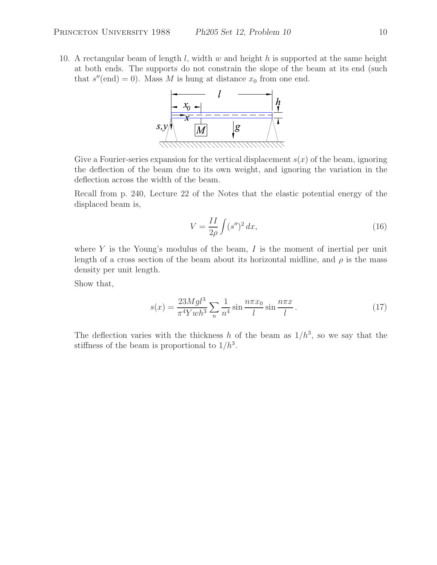10. A rectangular beam of length  $l$ , width  $w$  and height  $h$  is supported at the same height at both ends. The supports do not constrain the slope of the beam at its end (such that  $s''(end) = 0$ . Mass M is hung at distance  $x_0$  from one end.



Give a Fourier-series expansion for the vertical displacement  $s(x)$  of the beam, ignoring the deflection of the beam due to its own weight, and ignoring the variation in the deflection across the width of the beam.

Recall from p. 240, Lecture 22 of the Notes that the elastic potential energy of the displaced beam is,

$$
V = \frac{II}{2\rho} \int (s'')^2 dx,\tag{16}
$$

where  $Y$  is the Young's modulus of the beam,  $I$  is the moment of inertial per unit length of a cross section of the beam about its horizontal midline, and  $\rho$  is the mass density per unit length.

Show that,

$$
s(x) = \frac{23Mgl^3}{\pi^4 Ywh^3} \sum_{n} \frac{1}{n^4} \sin \frac{n\pi x_0}{l} \sin \frac{n\pi x}{l}.
$$
 (17)

The deflection varies with the thickness h of the beam as  $1/h^3$ , so we say that the stiffness of the beam is proportional to  $1/h^3$ .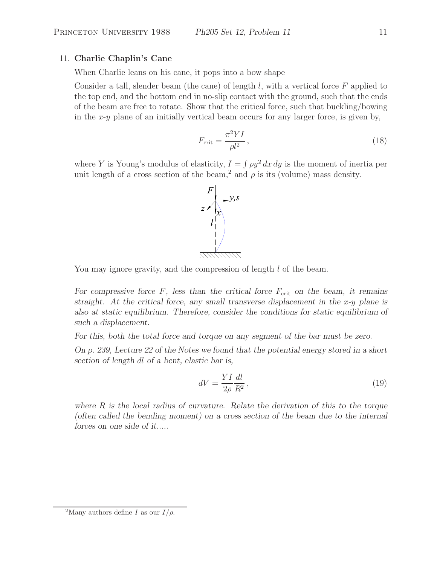## 11. **Charlie Chaplin's Cane**

When Charlie leans on his cane, it pops into a bow shape

Consider a tall, slender beam (the cane) of length  $l$ , with a vertical force  $F$  applied to the top end, and the bottom end in no-slip contact with the ground, such that the ends of the beam are free to rotate. Show that the critical force, such that buckling/bowing in the  $x-y$  plane of an initially vertical beam occurs for any larger force, is given by,

$$
F_{\rm crit} = \frac{\pi^2 Y I}{\rho l^2},\tag{18}
$$

where Y is Young's modulus of elasticity,  $I = \int \rho y^2 dx dy$  is the moment of inertia per unit length of a cross section of the beam,<sup>2</sup> and  $\rho$  is its (volume) mass density.



You may ignore gravity, and the compression of length l of the beam.

For compressive force  $F$ , less than the critical force  $F_{\text{crit}}$  on the beam, it remains *straight.* At the critical force, any small transverse displacement in the x-y plane is *also at static equilibrium. Therefore, consider the conditions for static equilibrium of such a displacement.*

*For this, both the total force and torque on any segment of the bar must be zero.*

*On p. 239, Lecture 22 of the Notes we found that the potential energy stored in a short section of length* dl *of a bent, elastic bar is,*

$$
dV = \frac{YI}{2\rho} \frac{dl}{R^2},\tag{19}
$$

*where* R *is the local radius of curvature. Relate the derivation of this to the torque (often called the bending moment) on a cross section of the beam due to the internal forces on one side of it.....*

<sup>&</sup>lt;sup>2</sup>Many authors define I as our  $I/\rho$ .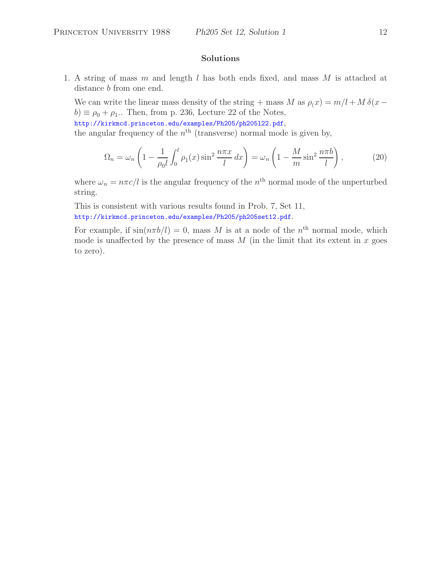1. A string of mass m and length l has both ends fixed, and mass M is attached at distance *b* from one end.

We can write the linear mass density of the string + mass M as  $\rho_i x = m/l + M \delta(x$  $b) \equiv \rho_0 + \rho_1$ .. Then, from p. 236, Lecture 22 of the Notes, http://kirkmcd.princeton.edu/examples/Ph205/ph205l22.pdf,

the angular frequency of the  $n<sup>th</sup>$  (transverse) normal mode is given by,

$$
\Omega_n = \omega_n \left( 1 - \frac{1}{\rho_0 l} \int_0^l \rho_1(x) \sin^2 \frac{n \pi x}{l} dx \right) = \omega_n \left( 1 - \frac{M}{m} \sin^2 \frac{n \pi b}{l} \right),\tag{20}
$$

where  $\omega_n = n\pi c/l$  is the angular frequency of the normal mode of the unperturbed string.

This is consistent with various results found in Prob. 7, Set 11, http://kirkmcd.princeton.edu/examples/Ph205/ph205set12.pdf.

For example, if  $sin(n\pi b/l) = 0$ , mass M is at a node of the  $n<sup>th</sup>$  normal mode, which mode is unaffected by the presence of mass  $M$  (in the limit that its extent in  $x$  goes to zero).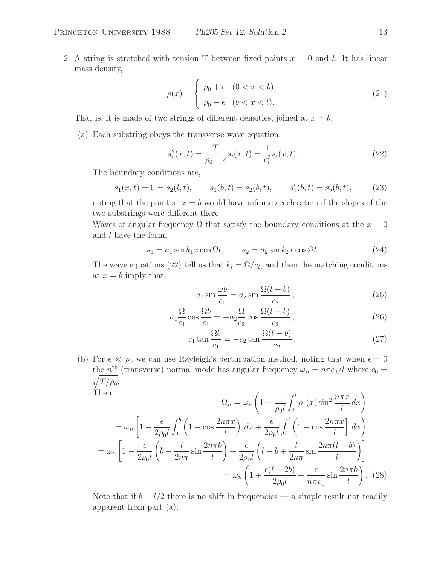2. A string is stretched with tension T between fixed points  $x = 0$  and l. It has linear mass density,

$$
\rho(x) = \begin{cases} \rho_0 + \epsilon & (0 < x < b), \\ \rho_0 - \epsilon & (b < x < l). \end{cases}
$$
\n(21)

That is, it is made of two strings of different densities, joined at  $x = b$ .

(a) Each substring obeys the transverse wave equation,

$$
s_i''(x,t) = \frac{T}{\rho_0 \pm \epsilon} \ddot{s}_i(x,t) = \frac{1}{c_i^2} \ddot{s}_i(x,t).
$$
 (22)

The boundary conditions are,

$$
s_1(x,t) = 0 = s_2(l,t),
$$
  $s_1(b,t) = s_2(b,t),$   $s'_1(b,t) = s'_2(b,t),$  (23)

noting that the point at  $x = b$  would have infinite acceleration if the slopes of the two substrings were different there.

Waves of angular frequency  $\Omega$  that satisfy the boundary conditions at the  $x = 0$ and  $l$  have the form,

$$
s_1 = a_1 \sin k_1 x \cos \Omega t, \qquad s_2 = a_2 \sin k_2 x \cos \Omega t. \tag{24}
$$

The wave equations (22) tell us that  $k_i = \Omega/c_i$ , and then the matching conditions at  $x = b$  imply that,

$$
a_1 \sin \frac{\omega b}{c_1} = a_2 \sin \frac{\Omega (l-b)}{c_2}, \qquad (25)
$$

$$
a_1 \frac{\Omega}{c_1} \cos \frac{\Omega b}{c_1} = -a_2 \frac{\Omega}{c_2} \cos \frac{\Omega (l-b)}{c_2}, \qquad (26)
$$

$$
c_1 \tan \frac{\Omega b}{c_1} = -c_2 \tan \frac{\Omega (l-b)}{c_2}.
$$
 (27)

(b) For  $\epsilon \ll \rho_0$  we can use Rayleigh's perturbation method, noting that when  $\epsilon = 0$ the  $n^{\text{th}}$  (transverse) normal mode has angular frequency  $\omega_n = n\pi c_0/l$  where  $c_0 =$  $\sqrt{T/\rho_0}$ .

Then,

Then,  
\n
$$
\Omega_n = \omega_n \left( 1 - \frac{1}{\rho_0 l} \int_0^l \rho_1(x) \sin^2 \frac{n \pi x}{l} dx \right)
$$
\n
$$
= \omega_n \left[ 1 - \frac{\epsilon}{2\rho_0 l} \int_0^b \left( 1 - \cos \frac{2n \pi x}{l} \right) dx + \frac{\epsilon}{2\rho_0 l} \int_0^l \left( 1 - \cos \frac{2n \pi x}{l} \right) dx \right]
$$
\n
$$
= \omega_n \left[ 1 - \frac{\epsilon}{2\rho_0 l} \left( b - \frac{l}{2n \pi} \sin \frac{2n \pi b}{l} \right) + \frac{\epsilon}{2\rho_0 l} \left( l - b + \frac{l}{2n \pi} \sin \frac{2n \pi (l - b)}{l} \right) \right]
$$
\n
$$
= \omega_n \left( 1 + \frac{\epsilon (l - 2b)}{2\rho_0 l} + \frac{\epsilon}{n \pi \rho_0} \sin \frac{2n \pi b}{l} \right). \tag{28}
$$

Note that if  $b = l/2$  there is no shift in frequencies — a simple result not readily apparent from part (a).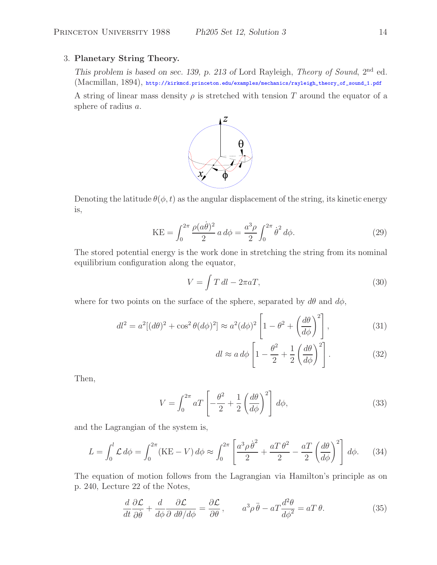## 3. **Planetary String Theory.**

*This problem is based on sec. 139, p. 213 of* Lord Rayleigh, *Theory of Sound*, 2nd ed. (Macmillan, 1894), http://kirkmcd.princeton.edu/examples/mechanics/rayleigh\_theory\_of\_sound\_1.pdf

A string of linear mass density  $\rho$  is stretched with tension T around the equator of a sphere of radius a.



Denoting the latitude  $\theta(\phi, t)$  as the angular displacement of the string, its kinetic energy is,

$$
KE = \int_0^{2\pi} \frac{\rho(a\dot{\theta})^2}{2} a \, d\phi = \frac{a^3 \rho}{2} \int_0^{2\pi} \dot{\theta}^2 \, d\phi. \tag{29}
$$

The stored potential energy is the work done in stretching the string from its nominal equilibrium configuration along the equator,

$$
V = \int T \, dl - 2\pi a T,\tag{30}
$$

where for two points on the surface of the sphere, separated by  $d\theta$  and  $d\phi$ ,

$$
dl^2 = a^2[(d\theta)^2 + \cos^2\theta (d\phi)^2] \approx a^2(d\phi)^2 \left[1 - \theta^2 + \left(\frac{d\theta}{d\phi}\right)^2\right],\tag{31}
$$

$$
dl \approx a d\phi \left[ 1 - \frac{\theta^2}{2} + \frac{1}{2} \left( \frac{d\theta}{d\phi} \right)^2 \right].
$$
 (32)

Then,

$$
V = \int_0^{2\pi} aT \left[ -\frac{\theta^2}{2} + \frac{1}{2} \left( \frac{d\theta}{d\phi} \right)^2 \right] d\phi,\tag{33}
$$

and the Lagrangian of the system is,

$$
L = \int_0^l \mathcal{L} \, d\phi = \int_0^{2\pi} (\text{KE} - V) \, d\phi \approx \int_0^{2\pi} \left[ \frac{a^3 \rho \dot{\theta}^2}{2} + \frac{aT \theta^2}{2} - \frac{aT}{2} \left( \frac{d\theta}{d\phi} \right)^2 \right] \, d\phi. \tag{34}
$$

The equation of motion follows from the Lagrangian via Hamilton's principle as on p. 240, Lecture 22 of the Notes,

$$
\frac{d}{dt}\frac{\partial \mathcal{L}}{\partial \dot{\theta}} + \frac{d}{d\phi}\frac{\partial \mathcal{L}}{\partial d\theta/d\phi} = \frac{\partial \mathcal{L}}{\partial \theta}, \qquad a^3 \rho \ddot{\theta} - aT \frac{d^2 \theta}{d\phi^2} = aT \theta.
$$
 (35)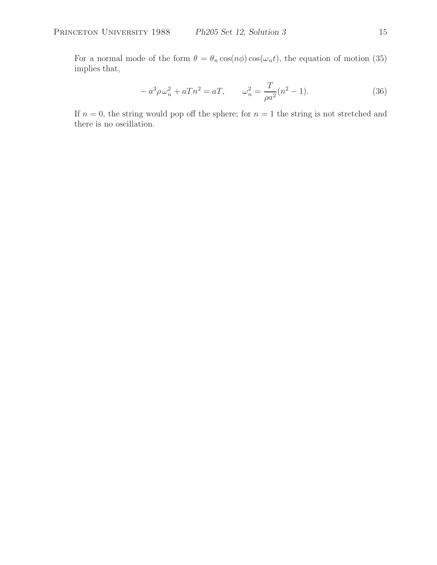For a normal mode of the form  $\theta = \theta_n \cos(n\phi) \cos(\omega_n t)$ , the equation of motion (35) implies that,

$$
-a^3 \rho \omega_n^2 + aTn^2 = aT, \qquad \omega_n^2 = \frac{T}{\rho a^2}(n^2 - 1). \tag{36}
$$

If  $n = 0$ , the string would pop off the sphere; for  $n = 1$  the string is not stretched and there is no oscillation.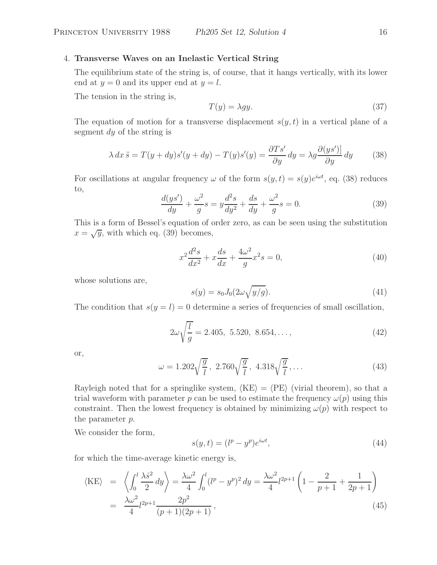# 4. **Transverse Waves on an Inelastic Vertical String**

The equilibrium state of the string is, of course, that it hangs vertically, with its lower end at  $y = 0$  and its upper end at  $y = l$ .

The tension in the string is,

$$
T(y) = \lambda gy.
$$
\n(37)

The equation of motion for a transverse displacement  $s(y, t)$  in a vertical plane of a segment dy of the string is

$$
\lambda \, dx \ddot{s} = T(y + dy)s'(y + dy) - T(y)s'(y) = \frac{\partial Ts'}{\partial y} \, dy = \lambda g \frac{\partial (ys')}{\partial y} \, dy \tag{38}
$$

For oscillations at angular frequency  $\omega$  of the form  $s(y, t) = s(y)e^{i\omega t}$ , eq. (38) reduces to,

$$
\frac{d(ys')}{dy} + \frac{\omega^2}{g}s = y\frac{d^2s}{dy^2} + \frac{ds}{dy} + \frac{\omega^2}{g}s = 0.
$$
 (39)

This is a form of Bessel's equation of order zero, as can be seen using the substitution  $x = \sqrt{y}$ , with which eq. (39) becomes,

$$
x^{2}\frac{d^{2}s}{dx^{2}} + x\frac{ds}{dx} + \frac{4\omega^{2}}{g}x^{2}s = 0,
$$
\n(40)

whose solutions are,

$$
s(y) = s_0 J_0(2\omega\sqrt{y/g}).\tag{41}
$$

The condition that  $s(y = l) = 0$  determine a series of frequencies of small oscillation,

$$
2\omega\sqrt{\frac{l}{g}} = 2.405, 5.520, 8.654, ..., \qquad (42)
$$

or,

$$
\omega = 1.202 \sqrt{\frac{g}{l}}, \ 2.760 \sqrt{\frac{g}{l}}, \ 4.318 \sqrt{\frac{g}{l}}, \dots \tag{43}
$$

Rayleigh noted that for a springlike system,  $\langle KE \rangle = \langle PE \rangle$  (virial theorem), so that a trial waveform with parameter p can be used to estimate the frequency  $\omega(p)$  using this constraint. Then the lowest frequency is obtained by minimizing  $\omega(p)$  with respect to the parameter p.

We consider the form,

$$
s(y,t) = (l^p - y^p)e^{i\omega t},\tag{44}
$$

for which the time-average kinetic energy is,

$$
\langle KE \rangle = \left\langle \int_0^l \frac{\lambda \dot{s}^2}{2} dy \right\rangle = \frac{\lambda \omega^2}{4} \int_0^l (l^p - y^p)^2 dy = \frac{\lambda \omega^2}{4} l^{2p+1} \left( 1 - \frac{2}{p+1} + \frac{1}{2p+1} \right)
$$
  
= 
$$
\frac{\lambda \omega^2}{4} l^{2p+1} \frac{2p^2}{(p+1)(2p+1)},
$$
(45)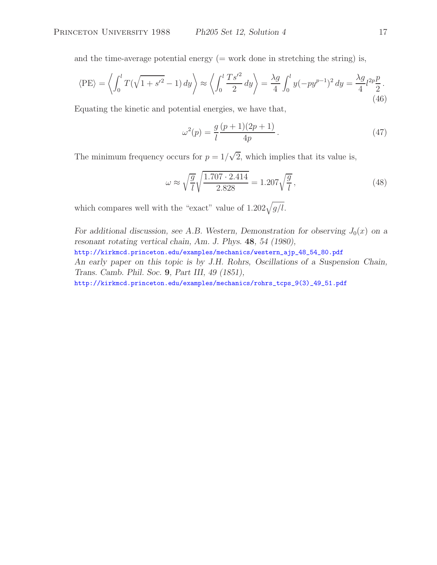and the time-average potential energy  $(=$  work done in stretching the string) is,

$$
\langle PE \rangle = \left\langle \int_0^l T(\sqrt{1 + s'^2} - 1) \, dy \right\rangle \approx \left\langle \int_0^l \frac{T s'^2}{2} \, dy \right\rangle = \frac{\lambda g}{4} \int_0^l y(-p y^{p-1})^2 \, dy = \frac{\lambda g}{4} l^{2p} \frac{p}{2}.
$$
\n(46)

Equating the kinetic and potential energies, we have that,

$$
\omega^2(p) = \frac{g(p+1)(2p+1)}{4p} \,. \tag{47}
$$

The minimum frequency occurs for  $p = 1/\sqrt{2}$ , which implies that its value is,

$$
\omega \approx \sqrt{\frac{g}{l}} \sqrt{\frac{1.707 \cdot 2.414}{2.828}} = 1.207 \sqrt{\frac{g}{l}},\tag{48}
$$

which compares well with the "exact" value of  $1.202\sqrt{g/l}$ .

*For additional discussion, see A.B. Western, Demonstration for observing*  $J_0(x)$  *on a resonant rotating vertical chain, Am. J. Phys.* **48***, 54 (1980),* http://kirkmcd.princeton.edu/examples/mechanics/western\_ajp\_48\_54\_80.pdf *An early paper on this topic is by J.H. Rohrs, Oscillations of a Suspension Chain, Trans. Camb. Phil. Soc.* **9***, Part III, 49 (1851),* http://kirkmcd.princeton.edu/examples/mechanics/rohrs\_tcps\_9(3)\_49\_51.pdf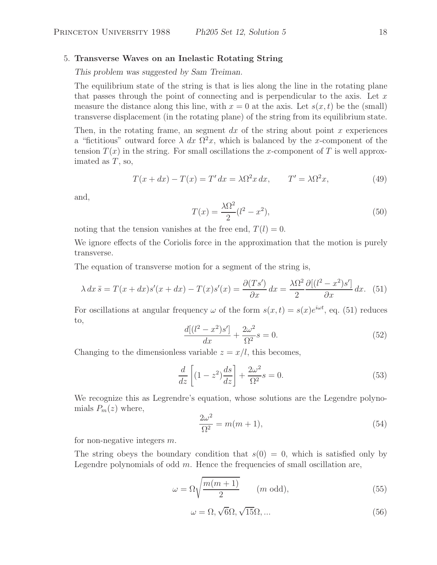### 5. **Transverse Waves on an Inelastic Rotating String**

*This problem was suggested by Sam Treiman.*

The equilibrium state of the string is that is lies along the line in the rotating plane that passes through the point of connecting and is perpendicular to the axis. Let  $x$ measure the distance along this line, with  $x = 0$  at the axis. Let  $s(x, t)$  be the (small) transverse displacement (in the rotating plane) of the string from its equilibrium state.

Then, in the rotating frame, an segment  $dx$  of the string about point x experiences a "fictitious" outward force  $\lambda dx \Omega^2 x$ , which is balanced by the x-component of the tension  $T(x)$  in the string. For small oscillations the x-component of T is well approximated as  $T$ , so,

$$
T(x+dx) - T(x) = T' dx = \lambda \Omega^2 x dx, \qquad T' = \lambda \Omega^2 x,
$$
\n(49)

and,

$$
T(x) = \frac{\lambda \Omega^2}{2} (l^2 - x^2),
$$
\n(50)

noting that the tension vanishes at the free end,  $T(l) = 0$ .

We ignore effects of the Coriolis force in the approximation that the motion is purely transverse.

The equation of transverse motion for a segment of the string is,

$$
\lambda \, dx \ddot{s} = T(x + dx)s'(x + dx) - T(x)s'(x) = \frac{\partial (Ts')}{\partial x} \, dx = \frac{\lambda \Omega^2}{2} \frac{\partial [(l^2 - x^2)s']}{\partial x} \, dx. \tag{51}
$$

For oscillations at angular frequency  $\omega$  of the form  $s(x,t) = s(x)e^{i\omega t}$ , eq. (51) reduces to,

$$
\frac{d[(l^2 - x^2)s']}{dx} + \frac{2\omega^2}{\Omega^2}s = 0.
$$
\n(52)

Changing to the dimensionless variable  $z = x/l$ , this becomes,

$$
\frac{d}{dz}\left[ (1-z^2)\frac{ds}{dz} \right] + \frac{2\omega^2}{\Omega^2}s = 0.
$$
\n(53)

We recognize this as Legrendre's equation, whose solutions are the Legendre polynomials  $P_m(z)$  where,

$$
\frac{2\omega^2}{\Omega^2} = m(m+1),\tag{54}
$$

for non-negative integers  $m$ .

The string obeys the boundary condition that  $s(0) = 0$ , which is satisfied only by Legendre polynomials of odd  $m$ . Hence the frequencies of small oscillation are,

$$
\omega = \Omega \sqrt{\frac{m(m+1)}{2}} \qquad (m \text{ odd}), \tag{55}
$$

$$
\omega = \Omega, \sqrt{6}\Omega, \sqrt{15}\Omega, \dots \tag{56}
$$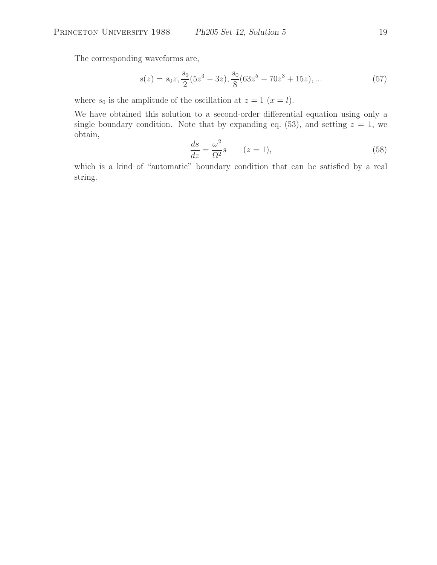The corresponding waveforms are,

$$
s(z) = s_0 z, \frac{s_0}{2} (5z^3 - 3z), \frac{s_0}{8} (63z^5 - 70z^3 + 15z), \dots
$$
 (57)

where  $s_0$  is the amplitude of the oscillation at  $z = 1$   $(x = l)$ .

We have obtained this solution to a second-order differential equation using only a single boundary condition. Note that by expanding eq. (53), and setting  $z = 1$ , we obtain,

$$
\frac{ds}{dz} = \frac{\omega^2}{\Omega^2} s \qquad (z = 1),
$$
\n(58)

which is a kind of "automatic" boundary condition that can be satisfied by a real string.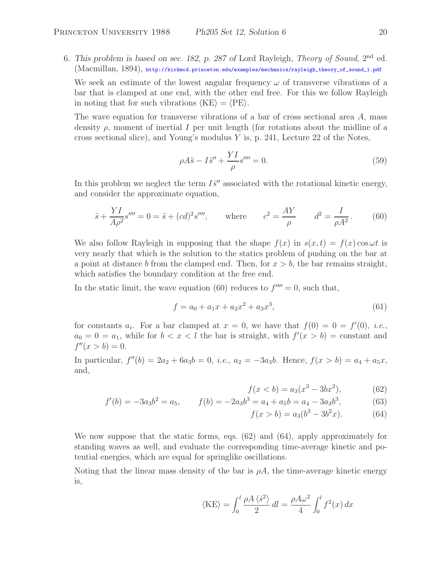6. *This problem is based on sec. 182, p. 287 of* Lord Rayleigh, *Theory of Sound*, 2nd ed. (Macmillan, 1894), http://kirkmcd.princeton.edu/examples/mechanics/rayleigh\_theory\_of\_sound\_1.pdf

We seek an estimate of the lowest angular frequency  $\omega$  of transverse vibrations of a bar that is clamped at one end, with the other end free. For this we follow Rayleigh in noting that for such vibrations  $\langle KE \rangle = \langle PE \rangle$ .

The wave equation for transverse vibrations of a bar of cross sectional area A, mass density  $\rho$ , moment of inertial I per unit length (for rotations about the midline of a cross sectional slice), and Young's modulus Y is, p. 241, Lecture 22 of the Notes,

$$
\rho A \ddot{s} - I \ddot{s}'' + \frac{Y I}{\rho} s''' = 0.
$$
\n(59)

In this problem we neglect the term  $I\ddot{s}''$  associated with the rotational kinetic energy, and consider the approximate equation,

$$
\ddot{s} + \frac{YI}{A\rho^2} s'''' = 0 = \ddot{s} + (cd)^2 s'''', \quad \text{where} \quad c^2 = \frac{AY}{\rho} \quad d^2 = \frac{I}{\rho A^2}.
$$
 (60)

We also follow Rayleigh in supposing that the shape  $f(x)$  in  $s(x,t) = f(x) \cos \omega t$  is very nearly that which is the solution to the statics problem of pushing on the bar at a point at distance b from the clamped end. Then, for  $x > b$ , the bar remains straight, which satisfies the boundary condition at the free end.

In the static limit, the wave equation (60) reduces to  $f^{\prime\prime\prime\prime} = 0$ , such that,

$$
f = a_0 + a_1 x + a_2 x^2 + a_3 x^3,
$$
\n(61)

for constants  $a_i$ . For a bar clamped at  $x = 0$ , we have that  $f(0) = 0 = f'(0)$ , *i.e.*,  $a_0 = 0 = a_1$ , while for  $b < x < l$  the bar is straight, with  $f'(x > b) = constant$  and  $f''(x > b) = 0.$ 

In particular,  $f''(b) = 2a_2 + 6a_3b = 0$ , *i.e.*,  $a_2 = -3a_3b$ . Hence,  $f(x > b) = a_4 + a_5x$ , and,

$$
f(x < b) = a_3(x^3 - 3bx^2),
$$
 (62)

$$
f'(b) = -3a_3b^2 = a_5, \qquad f(b) = -2a_3b^3 = a_4 + a_5b = a_4 - 3a_3b^3,\tag{63}
$$

$$
f(x > b) = a_3(b^3 - 3b^2x). \tag{64}
$$

We now suppose that the static forms, eqs. (62) and (64), apply approximately for standing waves as well, and evaluate the corresponding time-average kinetic and potential energies, which are equal for springlike oscillations.

Noting that the linear mass density of the bar is  $\rho A$ , the time-average kinetic energy is,

$$
\langle KE \rangle = \int_0^l \frac{\rho A \langle \dot{s}^2 \rangle}{2} dl = \frac{\rho A \omega^2}{4} \int_0^l f^2(x) dx
$$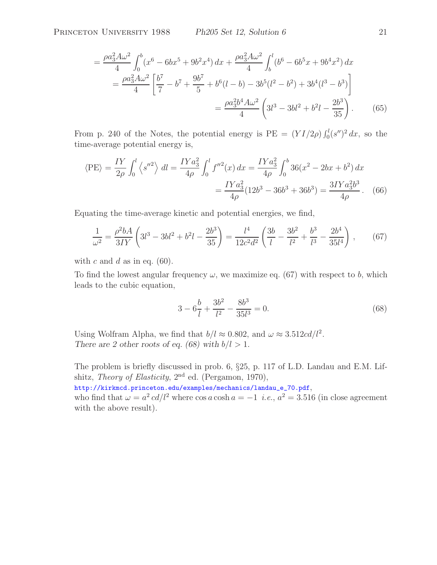$$
= \frac{\rho a_3^2 A \omega^2}{4} \int_0^b (x^6 - 6bx^5 + 9b^2x^4) dx + \frac{\rho a_3^2 A \omega^2}{4} \int_b^l (b^6 - 6b^5x + 9b^4x^2) dx
$$
  

$$
= \frac{\rho a_3^2 A \omega^2}{4} \left[ \frac{b^7}{7} - b^7 + \frac{9b^7}{5} + b^6(l - b) - 3b^5(l^2 - b^2) + 3b^4(l^3 - b^3) \right]
$$
  

$$
= \frac{\rho a_3^2 b^4 A \omega^2}{4} \left( 3l^3 - 3bl^2 + b^2l - \frac{2b^3}{35} \right). \tag{65}
$$

From p. 240 of the Notes, the potential energy is  $PE = (YI/2\rho) \int_0^l (s'')^2 dx$ , so the time-average potential energy is,

$$
\langle PE \rangle = \frac{IY}{2\rho} \int_0^l \left\langle s''^2 \right\rangle dl = \frac{IYa_3^2}{4\rho} \int_0^l f''^2(x) \, dx = \frac{IYa_3^2}{4\rho} \int_0^b 36(x^2 - 2bx + b^2) \, dx
$$

$$
= \frac{IYa_3^2}{4\rho} (12b^3 - 36b^3 + 36b^3) = \frac{3IYa_3^2b^3}{4\rho}. \tag{66}
$$

Equating the time-average kinetic and potential energies, we find,

$$
\frac{1}{\omega^2} = \frac{\rho^2 bA}{3IY} \left( 3l^3 - 3bl^2 + b^2l - \frac{2b^3}{35} \right) = \frac{l^4}{12c^2d^2} \left( \frac{3b}{l} - \frac{3b^2}{l^2} + \frac{b^3}{l^3} - \frac{2b^4}{35l^4} \right) ,\tag{67}
$$

with c and d as in eq.  $(60)$ .

To find the lowest angular frequency  $\omega$ , we maximize eq. (67) with respect to b, which leads to the cubic equation,

$$
3 - 6\frac{b}{l} + \frac{3b^2}{l^2} - \frac{8b^3}{35l^3} = 0.
$$
\n(68)

Using Wolfram Alpha, we find that  $b/l \approx 0.802$ , and  $\omega \approx 3.512cd/l^2$ . *There are 2 other roots of eq. (68) with*  $b/l > 1$ *.* 

The problem is briefly discussed in prob. 6, §25, p. 117 of L.D. Landau and E.M. Lifshitz, *Theory of Elasticity*, 2nd ed. (Pergamon, 1970),

http://kirkmcd.princeton.edu/examples/mechanics/landau\_e\_70.pdf, who find that  $\omega = a^2 c d/l^2$  where  $\cos a \cosh a = -1$  *i.e.*,  $a^2 = 3.516$  (in close agreement with the above result).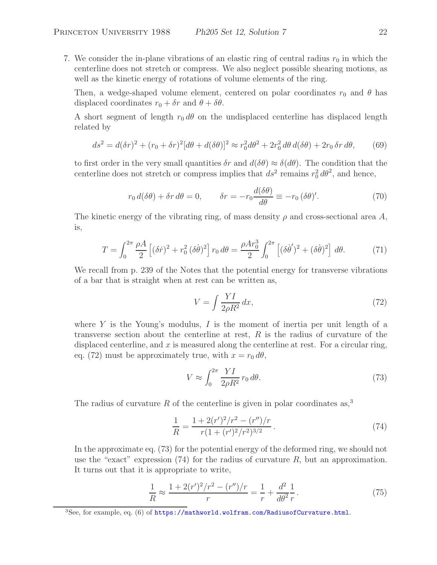7. We consider the in-plane vibrations of an elastic ring of central radius  $r_0$  in which the centerline does not stretch or compress. We also neglect possible shearing motions, as well as the kinetic energy of rotations of volume elements of the ring.

Then, a wedge-shaped volume element, centered on polar coordinates  $r_0$  and  $\theta$  has displaced coordinates  $r_0 + \delta r$  and  $\theta + \delta \theta$ .

A short segment of length  $r_0 d\theta$  on the undisplaced centerline has displaced length related by

$$
ds^2 = d(\delta r)^2 + (r_0 + \delta r)^2 [d\theta + d(\delta \theta)]^2 \approx r_0^2 d\theta^2 + 2r_0^2 d\theta d(\delta \theta) + 2r_0 \delta r d\theta,
$$
 (69)

to first order in the very small quantities  $\delta r$  and  $d(\delta \theta) \approx \delta (d\theta)$ . The condition that the centerline does not stretch or compress implies that  $ds^2$  remains  $r_0^2 d\theta^2$ , and hence,

$$
r_0 d(\delta \theta) + \delta r d\theta = 0, \qquad \delta r = -r_0 \frac{d(\delta \theta)}{d\theta} \equiv -r_0 (\delta \theta)'.
$$
 (70)

The kinetic energy of the vibrating ring, of mass density  $\rho$  and cross-sectional area A, is,

$$
T = \int_0^{2\pi} \frac{\rho A}{2} \left[ (\delta \dot{r})^2 + r_0^2 (\delta \dot{\theta})^2 \right] r_0 \, d\theta = \frac{\rho A r_0^3}{2} \int_0^{2\pi} \left[ (\delta \dot{\theta}')^2 + (\delta \dot{\theta})^2 \right] \, d\theta. \tag{71}
$$

We recall from p. 239 of the Notes that the potential energy for transverse vibrations of a bar that is straight when at rest can be written as,

$$
V = \int \frac{YI}{2\rho R^2} dx,\tag{72}
$$

where Y is the Young's modulus, I is the moment of inertia per unit length of a transverse section about the centerline at rest, R is the radius of curvature of the displaced centerline, and  $x$  is measured along the centerline at rest. For a circular ring, eq. (72) must be approximately true, with  $x = r_0 d\theta$ ,

$$
V \approx \int_0^{2\pi} \frac{YI}{2\rho R^2} r_0 d\theta. \tag{73}
$$

The radius of curvature R of the centerline is given in polar coordinates as,<sup>3</sup>

$$
\frac{1}{R} = \frac{1 + 2(r')^2/r^2 - (r'')/r}{r(1 + (r')^2/r^2)^{3/2}}.
$$
\n(74)

In the approximate eq. (73) for the potential energy of the deformed ring, we should not use the "exact" expression  $(74)$  for the radius of curvature R, but an approximation. It turns out that it is appropriate to write,

$$
\frac{1}{R} \approx \frac{1 + 2(r')^2/r^2 - (r'')/r}{r} = \frac{1}{r} + \frac{d^2}{d\theta^2} \frac{1}{r}.
$$
\n(75)

 $3$ See, for example, eq. (6) of https://mathworld.wolfram.com/RadiusofCurvature.html.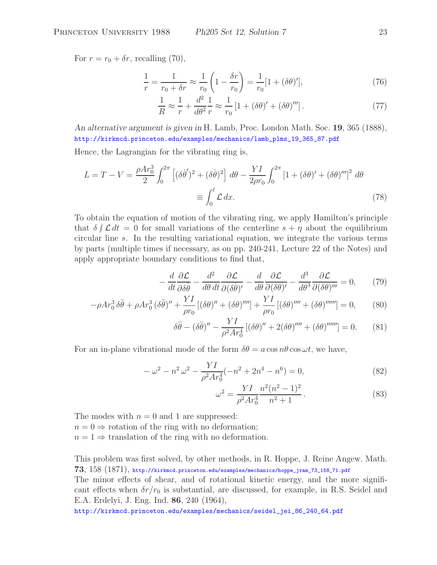For  $r = r_0 + \delta r$ , recalling (70),

$$
\frac{1}{r} = \frac{1}{r_0 + \delta r} \approx \frac{1}{r_0} \left( 1 - \frac{\delta r}{r_0} \right) = \frac{1}{r_0} [1 + (\delta \theta)'],\tag{76}
$$

$$
\frac{1}{R} \approx \frac{1}{r} + \frac{d^2}{d\theta^2} \frac{1}{r} \approx \frac{1}{r_0} \left[ 1 + (\delta\theta)' + (\delta\theta)'' \right].
$$
 (77)

*An alternative argument is given in* H. Lamb, Proc. London Math. Soc. **19**, 365 (1888), http://kirkmcd.princeton.edu/examples/mechanics/lamb\_plms\_19\_365\_87.pdf

Hence, the Lagrangian for the vibrating ring is,

$$
L = T - V = \frac{\rho A r_0^3}{2} \int_0^{2\pi} \left[ (\delta \dot{\theta}')^2 + (\delta \dot{\theta})^2 \right] d\theta - \frac{Y I}{2 \rho r_0} \int_0^{2\pi} \left[ 1 + (\delta \theta)' + (\delta \theta)'' \right]^2 d\theta
$$

$$
\equiv \int_0^l \mathcal{L} \, dx. \tag{78}
$$

To obtain the equation of motion of the vibrating ring, we apply Hamilton's principle that  $\delta \int \mathcal{L} dt = 0$  for small variations of the centerline  $s + \eta$  about the equilibrium circular line s. In the resulting variational equation, we integrate the various terms by parts (multiple times if necessary, as on pp. 240-241, Lecture 22 of the Notes) and apply appropriate boundary conditions to find that,

$$
-\frac{d}{dt}\frac{\partial \mathcal{L}}{\partial \delta \dot{\theta}} - \frac{d^2}{d\theta \, dt} \frac{\partial \mathcal{L}}{\partial (\delta \dot{\theta})'} - \frac{d}{d\theta} \frac{\partial \mathcal{L}}{\partial (\delta \theta)'} - \frac{d^3}{d\theta^3} \frac{\partial \mathcal{L}}{\partial (\delta \theta)'''} = 0, \qquad (79)
$$

$$
-\rho Ar_0^3 \delta\ddot{\theta} + \rho Ar_0^3 (\delta\ddot{\theta})'' + \frac{YI}{\rho r_0} [(\delta\theta)'' + (\delta\theta)'''] + \frac{YI}{\rho r_0} [(\delta\theta)'''' + (\delta\theta)'''''] = 0, \qquad (80)
$$

$$
\delta\ddot{\theta} - (\delta\ddot{\theta})'' - \frac{YI}{\rho^2 Ar_0^4} \left[ (\delta\theta)'' + 2(\delta\theta)'''' + (\delta\theta)'''''' \right] = 0. \tag{81}
$$

For an in-plane vibrational mode of the form  $\delta\theta = a \cos n\theta \cos \omega t$ , we have,

$$
-\omega^2 - n^2 \omega^2 - \frac{YI}{\rho^2 A r_0^4}(-n^2 + 2n^4 - n^6) = 0,
$$
\n(82)

$$
\omega^2 = \frac{YI}{\rho^2 Ar_0^4} \frac{n^2(n^2 - 1)^2}{n^2 + 1}.
$$
\n(83)

The modes with  $n = 0$  and 1 are suppressed:

 $n = 0 \Rightarrow$  rotation of the ring with no deformation;

 $n = 1 \Rightarrow$  translation of the ring with no deformation.

This problem was first solved, by other methods, in R. Hoppe, J. Reine Angew. Math. **73**, 158 (1871), http://kirkmcd.princeton.edu/examples/mechanics/hoppe\_jram\_73\_158\_71.pdf

The minor effects of shear, and of rotational kinetic energy, and the more significant effects when  $\delta r/r_0$  is substantial, are discussed, for example, in R.S. Seidel and E.A. Erdelyi, J. Eng. Ind. **86**, 240 (1964),

http://kirkmcd.princeton.edu/examples/mechanics/seidel\_jei\_86\_240\_64.pdf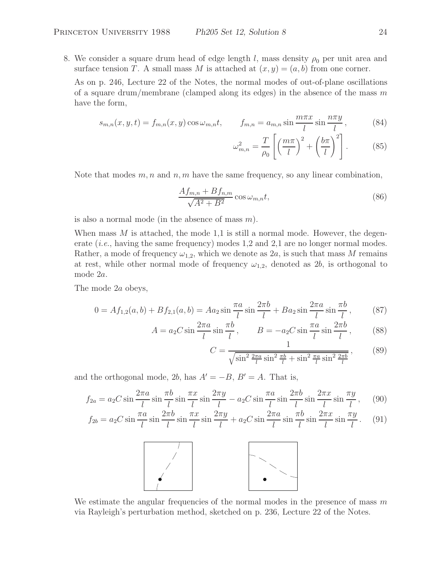8. We consider a square drum head of edge length l, mass density  $\rho_0$  per unit area and surface tension T. A small mass M is attached at  $(x, y)=(a, b)$  from one corner.

As on p. 246, Lecture 22 of the Notes, the normal modes of out-of-plane oscillations of a square drum/membrane (clamped along its edges) in the absence of the mass  $m$ have the form,

$$
s_{m,n}(x,y,t) = f_{m,n}(x,y)\cos\omega_{m,n}t, \qquad f_{m,n} = a_{m,n}\sin\frac{m\pi x}{l}\sin\frac{n\pi y}{l}, \qquad (84)
$$

$$
\omega_{m,n}^2 = \frac{T}{\rho_0} \left[ \left( \frac{m\pi}{l} \right)^2 + \left( \frac{b\pi}{l} \right)^2 \right].
$$
 (85)

Note that modes  $m, n$  and  $n, m$  have the same frequency, so any linear combination,

$$
\frac{Af_{m,n} + Bf_{n,m}}{\sqrt{A^2 + B^2}} \cos \omega_{m,n} t,
$$
\n(86)

is also a normal mode (in the absence of mass  $m$ ).

When mass  $M$  is attached, the mode 1,1 is still a normal mode. However, the degenerate *(i.e.*, having the same frequency) modes 1,2 and 2,1 are no longer normal modes. Rather, a mode of frequency  $\omega_{1,2}$ , which we denote as  $2a$ , is such that mass M remains at rest, while other normal mode of frequency  $\omega_{1,2}$ , denoted as 2b, is orthogonal to mode 2a.

The mode 2a obeys,

$$
0 = Af_{1,2}(a, b) + Bf_{2,1}(a, b) = Aa_2 \sin \frac{\pi a}{l} \sin \frac{2\pi b}{l} + Ba_2 \sin \frac{2\pi a}{l} \sin \frac{\pi b}{l},
$$
 (87)

$$
A = a_2 C \sin \frac{2\pi a}{l} \sin \frac{\pi b}{l}, \qquad B = -a_2 C \sin \frac{\pi a}{l} \sin \frac{2\pi b}{l}, \qquad (88)
$$

$$
C = \frac{1}{\sqrt{\sin^2 \frac{2\pi a}{l} \sin^2 \frac{\pi b}{l} + \sin^2 \frac{\pi a}{l} \sin^2 \frac{2\pi b}{l}}},
$$
(89)

and the orthogonal mode, 2b, has  $A' = -B$ ,  $B' = A$ . That is,

$$
f_{2a} = a_2 C \sin \frac{2\pi a}{l} \sin \frac{\pi b}{l} \sin \frac{\pi x}{l} \sin \frac{2\pi y}{l} - a_2 C \sin \frac{\pi a}{l} \sin \frac{2\pi b}{l} \sin \frac{2\pi x}{l} \sin \frac{\pi y}{l}, \quad (90)
$$

$$
f_{2b} = a_2 C \sin \frac{\pi a}{l} \sin \frac{2\pi b}{l} \sin \frac{\pi x}{l} \sin \frac{2\pi y}{l} + a_2 C \sin \frac{2\pi a}{l} \sin \frac{\pi b}{l} \sin \frac{2\pi x}{l} \sin \frac{\pi y}{l}.
$$
 (91)



We estimate the angular frequencies of the normal modes in the presence of mass  $m$ via Rayleigh's perturbation method, sketched on p. 236, Lecture 22 of the Notes.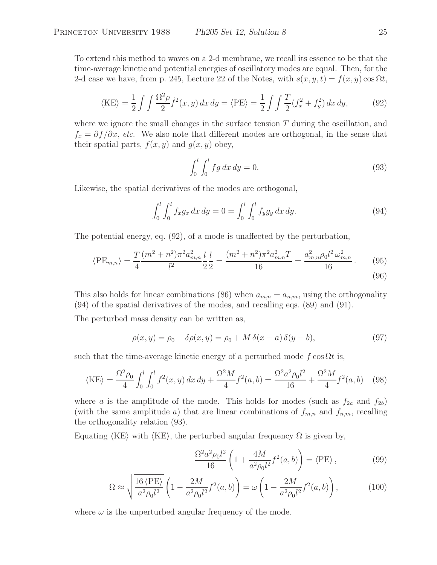To extend this method to waves on a 2-d membrane, we recall its essence to be that the time-average kinetic and potential energies of oscillatory modes are equal. Then, for the 2-d case we have, from p. 245, Lecture 22 of the Notes, with  $s(x, y, t) = f(x, y) \cos \Omega t$ ,

$$
\langle KE \rangle = \frac{1}{2} \int \int \frac{\Omega^2 \rho}{2} \dot{f}^2(x, y) \, dx \, dy = \langle PE \rangle = \frac{1}{2} \int \int \frac{T}{2} (f_x^2 + f_y^2) \, dx \, dy,\tag{92}
$$

where we ignore the small changes in the surface tension  $T$  during the oscillation, and  $f_x = \partial f / \partial x$ , *etc.* We also note that different modes are orthogonal, in the sense that their spatial parts,  $f(x, y)$  and  $g(x, y)$  obey,

$$
\int_0^l \int_0^l fg \, dx \, dy = 0. \tag{93}
$$

Likewise, the spatial derivatives of the modes are orthogonal,

$$
\int_0^l \int_0^l f_x g_x \, dx \, dy = 0 = \int_0^l \int_0^l f_y g_y \, dx \, dy. \tag{94}
$$

The potential energy, eq. (92), of a mode is unaffected by the perturbation,

$$
\langle PE_{m,n} \rangle = \frac{T}{4} \frac{(m^2 + n^2)\pi^2 a_{m,n}^2}{l^2} \frac{l}{2} \frac{l}{2} = \frac{(m^2 + n^2)\pi^2 a_{m,n}^2 T}{16} = \frac{a_{m,n}^2 \rho_0 l^2 \omega_{m,n}^2}{16}.
$$
 (95)

This also holds for linear combinations (86) when  $a_{m,n} = a_{n,m}$ , using the orthogonality (94) of the spatial derivatives of the modes, and recalling eqs. (89) and (91).

The perturbed mass density can be written as,

$$
\rho(x, y) = \rho_0 + \delta \rho(x, y) = \rho_0 + M \delta(x - a) \delta(y - b), \tag{97}
$$

such that the time-average kinetic energy of a perturbed mode f cos  $\Omega t$  is,

$$
\langle KE \rangle = \frac{\Omega^2 \rho_0}{4} \int_0^l \int_0^l f^2(x, y) \, dx \, dy + \frac{\Omega^2 M}{4} f^2(a, b) = \frac{\Omega^2 a^2 \rho_0 l^2}{16} + \frac{\Omega^2 M}{4} f^2(a, b) \tag{98}
$$

where a is the amplitude of the mode. This holds for modes (such as  $f_{2a}$  and  $f_{2b}$ ) (with the same amplitude a) that are linear combinations of  $f_{m,n}$  and  $f_{n,m}$ , recalling the orthogonality relation (93).

Equating  $\langle KE \rangle$  with  $\langle KE \rangle$ , the perturbed angular frequency  $\Omega$  is given by,

$$
\frac{\Omega^2 a^2 \rho_0 l^2}{16} \left( 1 + \frac{4M}{a^2 \rho_0 l^2} f^2(a, b) \right) = \langle \text{PE} \rangle , \qquad (99)
$$

$$
\Omega \approx \sqrt{\frac{16 \langle \text{PE} \rangle}{a^2 \rho_0 l^2}} \left( 1 - \frac{2M}{a^2 \rho_0 l^2} f^2(a, b) \right) = \omega \left( 1 - \frac{2M}{a^2 \rho_0 l^2} f^2(a, b) \right),\tag{100}
$$

where  $\omega$  is the unperturbed angular frequency of the mode.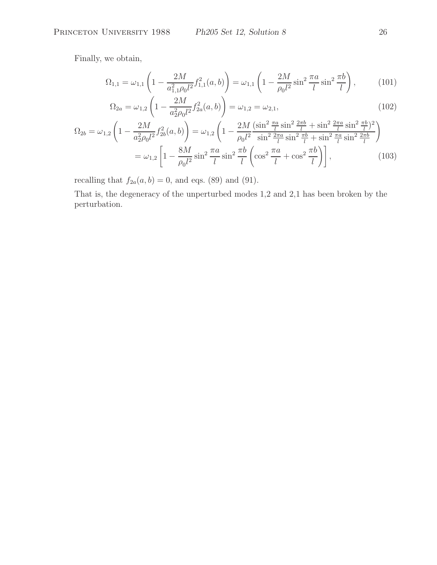Finally, we obtain,

$$
\Omega_{1,1} = \omega_{1,1} \left( 1 - \frac{2M}{a_{1,1}^2 \rho_0 l^2} f_{1,1}^2(a,b) \right) = \omega_{1,1} \left( 1 - \frac{2M}{\rho_0 l^2} \sin^2 \frac{\pi a}{l} \sin^2 \frac{\pi b}{l} \right),\tag{101}
$$

$$
\Omega_{2a} = \omega_{1,2} \left( 1 - \frac{2M}{a_2^2 \rho_0 l^2} f_{2a}^2(a, b) \right) = \omega_{1,2} = \omega_{2,1},\tag{102}
$$

$$
\Omega_{2b} = \omega_{1,2} \left( 1 - \frac{2M}{a_2^2 \rho_0 l^2} f_{2b}^2(a, b) \right) = \omega_{1,2} \left( 1 - \frac{2M}{\rho_0 l^2} \frac{(\sin^2 \frac{\pi a}{l} \sin^2 \frac{2\pi b}{l} + \sin^2 \frac{2\pi a}{l} \sin^2 \frac{\pi b}{l})^2}{\sin^2 \frac{2\pi a}{l} \sin^2 \frac{\pi b}{l} + \sin^2 \frac{\pi a}{l} \sin^2 \frac{2\pi b}{l}} \right)
$$
  
=  $\omega_{1,2} \left[ 1 - \frac{8M}{\rho_0 l^2} \sin^2 \frac{\pi a}{l} \sin^2 \frac{\pi b}{l} \left( \cos^2 \frac{\pi a}{l} + \cos^2 \frac{\pi b}{l} \right) \right],$  (103)

recalling that  $f_{2a}(a, b) = 0$ , and eqs. (89) and (91).

That is, the degeneracy of the unperturbed modes 1,2 and 2,1 has been broken by the perturbation.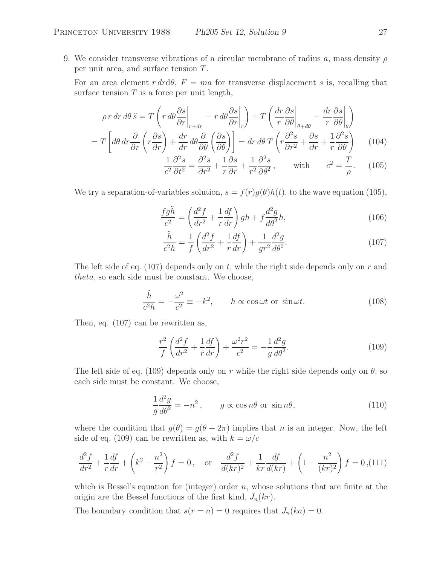9. We consider transverse vibrations of a circular membrane of radius a, mass density  $\rho$ per unit area, and surface tension T .

For an area element  $r dr d\theta$ ,  $F = ma$  for transverse displacement s is, recalling that surface tension  $T$  is a force per unit length,

$$
\rho r \, dr \, d\theta \ddot{s} = T \left( r \, d\theta \frac{\partial s}{\partial r} \bigg|_{r+dr} - r \, d\theta \frac{\partial s}{\partial r} \bigg|_{r} \right) + T \left( \frac{dr}{r} \frac{\partial s}{\partial \theta} \bigg|_{\theta+d\theta} - \frac{dr}{r} \frac{\partial s}{\partial \theta} \bigg|_{\theta} \right)
$$

$$
= T \left[ d\theta \, dr \frac{\partial}{\partial r} \left( r \frac{\partial s}{\partial r} \right) + \frac{dr}{dr} \, d\theta \frac{\partial}{\partial \theta} \left( \frac{\partial s}{\partial \theta} \right) \right] = dr \, d\theta \, T \left( r \frac{\partial^2 s}{\partial r^2} + \frac{\partial s}{\partial r} + \frac{1}{r} \frac{\partial^2 s}{\partial \theta} \right) \tag{104}
$$

$$
\frac{1}{c^2} \frac{\partial^2 s}{\partial t^2} = \frac{\partial^2 s}{\partial r^2} + \frac{1}{r} \frac{\partial s}{\partial r} + \frac{1}{r^2} \frac{\partial^2 s}{\partial \theta^2}, \quad \text{with} \quad c^2 = \frac{T}{\rho}. \quad (105)
$$

We try a separation-of-variables solution,  $s = f(r)g(\theta)h(t)$ , to the wave equation (105),

$$
\frac{fg\ddot{h}}{c^2} = \left(\frac{d^2f}{dr^2} + \frac{1}{r}\frac{df}{dr}\right)gh + f\frac{d^2g}{d\theta^2}h,\tag{106}
$$

$$
\frac{\ddot{h}}{c^2 h} = \frac{1}{f} \left( \frac{d^2 f}{dr^2} + \frac{1}{r} \frac{df}{dr} \right) + \frac{1}{gr^2} \frac{d^2 g}{d\theta^2}.
$$
\n(107)

The left side of eq. (107) depends only on t, while the right side depends only on  $r$  and theta, so each side must be constant. We choose,

$$
\frac{\ddot{h}}{c^2 h} = -\frac{\omega^2}{c^2} \equiv -k^2, \qquad h \propto \cos \omega t \text{ or } \sin \omega t.
$$
 (108)

Then, eq. (107) can be rewritten as,

$$
\frac{r^2}{f} \left( \frac{d^2 f}{dr^2} + \frac{1}{r} \frac{df}{dr} \right) + \frac{\omega^2 r^2}{c^2} = -\frac{1}{g} \frac{d^2 g}{d\theta^2}.
$$
\n(109)

The left side of eq. (109) depends only on r while the right side depends only on  $\theta$ , so each side must be constant. We choose,

$$
\frac{1}{g}\frac{d^2g}{d\theta^2} = -n^2, \qquad g \propto \cos n\theta \text{ or } \sin n\theta,
$$
\n(110)

where the condition that  $g(\theta) = g(\theta + 2\pi)$  implies that n is an integer. Now, the left side of eq. (109) can be rewritten as, with  $k = \omega/c$ 

$$
\frac{d^2f}{dr^2} + \frac{1}{r}\frac{df}{dr} + \left(k^2 - \frac{n^2}{r^2}\right)f = 0, \quad \text{or} \quad \frac{d^2f}{d(kr)^2} + \frac{1}{kr}\frac{df}{d(kr)} + \left(1 - \frac{n^2}{(kr)^2}\right)f = 0, \text{(111)}
$$

which is Bessel's equation for (integer) order  $n$ , whose solutions that are finite at the origin are the Bessel functions of the first kind,  $J_n(kr)$ .

The boundary condition that  $s(r = a) = 0$  requires that  $J_n(ka) = 0$ .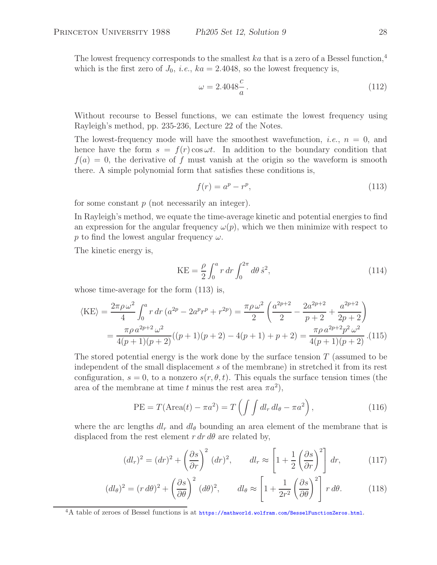The lowest frequency corresponds to the smallest ka that is a zero of a Bessel function,<sup>4</sup> which is the first zero of  $J_0$ , *i.e.*,  $ka = 2.4048$ , so the lowest frequency is,

$$
\omega = 2.4048 \frac{c}{a} \,. \tag{112}
$$

Without recourse to Bessel functions, we can estimate the lowest frequency using Rayleigh's method, pp. 235-236, Lecture 22 of the Notes.

The lowest-frequency mode will have the smoothest wavefunction, *i.e.*,  $n = 0$ , and hence have the form  $s = f(r) \cos \omega t$ . In addition to the boundary condition that  $f(a) = 0$ , the derivative of f must vanish at the origin so the waveform is smooth there. A simple polynomial form that satisfies these conditions is,

$$
f(r) = a^p - r^p,\tag{113}
$$

for some constant  $p$  (not necessarily an integer).

In Rayleigh's method, we equate the time-average kinetic and potential energies to find an expression for the angular frequency  $\omega(p)$ , which we then minimize with respect to p to find the lowest angular frequency  $\omega$ .

The kinetic energy is,

$$
KE = \frac{\rho}{2} \int_0^a r \, dr \int_0^{2\pi} d\theta \, \dot{s}^2,\tag{114}
$$

whose time-average for the form (113) is,

$$
\langle KE \rangle = \frac{2\pi \rho \omega^2}{4} \int_0^a r \, dr \left( a^{2p} - 2a^p r^p + r^{2p} \right) = \frac{\pi \rho \omega^2}{2} \left( \frac{a^{2p+2}}{2} - \frac{2a^{2p+2}}{p+2} + \frac{a^{2p+2}}{2p+2} \right)
$$
  
= 
$$
\frac{\pi \rho \, a^{2p+2} \omega^2}{4(p+1)(p+2)} ((p+1)(p+2) - 4(p+1) + p + 2) = \frac{\pi \rho \, a^{2p+2} p^2 \omega^2}{4(p+1)(p+2)} . (115)
$$

The stored potential energy is the work done by the surface tension  $T$  (assumed to be independent of the small displacement s of the membrane) in stretched it from its rest configuration,  $s = 0$ , to a nonzero  $s(r, \theta, t)$ . This equals the surface tension times (the area of the membrane at time t minus the rest area  $\pi a^2$ ),

$$
PE = T(\text{Area}(t) - \pi a^2) = T\left(\int \int dl_r dl_\theta - \pi a^2\right),\tag{116}
$$

where the arc lengths  $dl_r$  and  $dl_\theta$  bounding an area element of the membrane that is displaced from the rest element  $r dr d\theta$  are related by,

$$
(dl_r)^2 = (dr)^2 + \left(\frac{\partial s}{\partial r}\right)^2 (dr)^2, \qquad dl_r \approx \left[1 + \frac{1}{2} \left(\frac{\partial s}{\partial r}\right)^2\right] dr,\tag{117}
$$

$$
(dl_{\theta})^2 = (r \, d\theta)^2 + \left(\frac{\partial s}{\partial \theta}\right)^2 (d\theta)^2, \qquad dl_{\theta} \approx \left[1 + \frac{1}{2r^2} \left(\frac{\partial s}{\partial \theta}\right)^2\right] r \, d\theta. \tag{118}
$$

 ${}^{4}$ A table of zeroes of Bessel functions is at https://mathworld.wolfram.com/BesselFunctionZeros.html.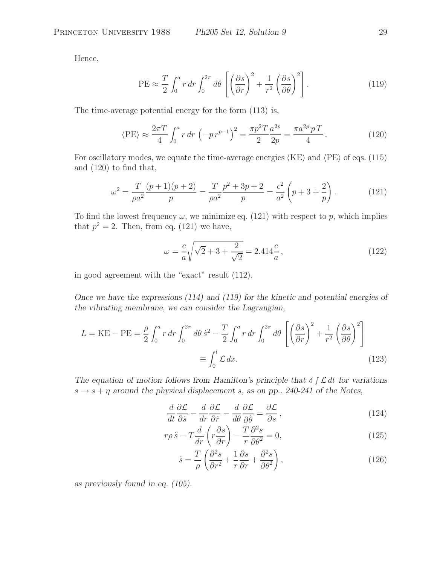Hence,

$$
PE \approx \frac{T}{2} \int_0^a r \, dr \int_0^{2\pi} d\theta \left[ \left( \frac{\partial s}{\partial r} \right)^2 + \frac{1}{r^2} \left( \frac{\partial s}{\partial \theta} \right)^2 \right]. \tag{119}
$$

The time-average potential energy for the form (113) is,

$$
\langle PE \rangle \approx \frac{2\pi T}{4} \int_0^a r \, dr \, \left( -p \, r^{p-1} \right)^2 = \frac{\pi p^2 T}{2} \frac{a^{2p}}{2p} = \frac{\pi a^{2p} \, p \, T}{4} \,. \tag{120}
$$

For oscillatory modes, we equate the time-average energies  $\langle KE \rangle$  and  $\langle PE \rangle$  of eqs. (115) and (120) to find that,

$$
\omega^2 = \frac{T}{\rho a^2} \frac{(p+1)(p+2)}{p} = \frac{T}{\rho a^2} \frac{p^2 + 3p + 2}{p} = \frac{c^2}{a^2} \left( p + 3 + \frac{2}{p} \right). \tag{121}
$$

To find the lowest frequency  $\omega$ , we minimize eq. (121) with respect to p, which implies that  $p^2 = 2$ . Then, from eq. (121) we have,

$$
\omega = \frac{c}{a} \sqrt{\sqrt{2} + 3 + \frac{2}{\sqrt{2}}} = 2.414 \frac{c}{a},\qquad(122)
$$

in good agreement with the "exact" result (112).

*Once we have the expressions (114) and (119) for the kinetic and potential energies of the vibrating membrane, we can consider the Lagrangian,*

$$
L = KE - PE = \frac{\rho}{2} \int_0^a r \, dr \int_0^{2\pi} d\theta \, \dot{s}^2 - \frac{T}{2} \int_0^a r \, dr \int_0^{2\pi} d\theta \, \left[ \left( \frac{\partial s}{\partial r} \right)^2 + \frac{1}{r^2} \left( \frac{\partial s}{\partial \theta} \right)^2 \right]
$$

$$
\equiv \int_0^l \mathcal{L} \, dx. \tag{123}
$$

The equation of motion follows from Hamilton's principle that  $\delta \int \mathcal{L} dt$  for variations  $s \rightarrow s + \eta$  around the physical displacement s, as on pp. 240-241 of the Notes,

$$
\frac{d}{dt}\frac{\partial \mathcal{L}}{\partial \dot{s}} - \frac{d}{dr}\frac{\partial \mathcal{L}}{\partial \dot{r}} - \frac{d}{d\theta}\frac{\partial \mathcal{L}}{\partial \dot{\theta}} = \frac{\partial \mathcal{L}}{\partial s},\tag{124}
$$

$$
r\rho \ddot{s} - T\frac{d}{dr}\left(r\frac{\partial s}{\partial r}\right) - \frac{T}{r}\frac{\partial^2 s}{\partial \theta^2} = 0,
$$
\n(125)

$$
\ddot{s} = \frac{T}{\rho} \left( \frac{\partial^2 s}{\partial r^2} + \frac{1}{r} \frac{\partial s}{\partial r} + \frac{\partial^2 s}{\partial \theta^2} \right),\tag{126}
$$

*as previously found in eq. (105).*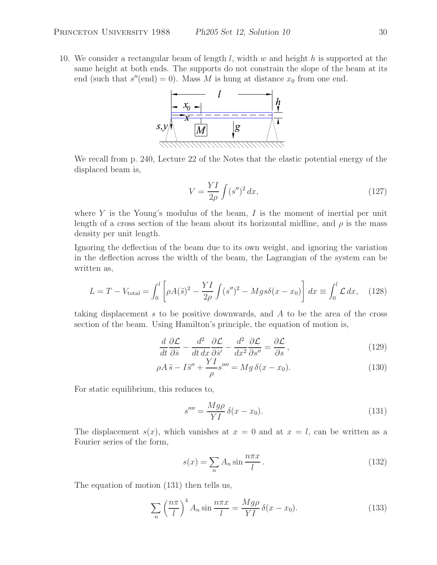10. We consider a rectangular beam of length  $l$ , width w and height h is supported at the same height at both ends. The supports do not constrain the slope of the beam at its end (such that  $s''(end) = 0$ ). Mass M is hung at distance  $x_0$  from one end.



We recall from p. 240, Lecture 22 of the Notes that the elastic potential energy of the displaced beam is,

$$
V = \frac{YI}{2\rho} \int (s'')^2 dx,\qquad(127)
$$

where  $Y$  is the Young's modulus of the beam,  $I$  is the moment of inertial per unit length of a cross section of the beam about its horizontal midline, and  $\rho$  is the mass density per unit length.

Ignoring the deflection of the beam due to its own weight, and ignoring the variation in the deflection across the width of the beam, the Lagrangian of the system can be written as,

$$
L = T - V_{\text{total}} = \int_0^l \left[ \rho A(\ddot{s})^2 - \frac{YI}{2\rho} \int (s'')^2 - Mg s \delta(x - x_0) \right] dx \equiv \int_0^l \mathcal{L} \, dx, \tag{128}
$$

taking displacement s to be positive downwards, and A to be the area of the cross section of the beam. Using Hamilton's principle, the equation of motion is,

$$
\frac{d}{dt}\frac{\partial \mathcal{L}}{\partial \dot{s}} - \frac{d^2}{dt dx} \frac{\partial \mathcal{L}}{\partial \dot{s}'} - \frac{d^2}{dx^2} \frac{\partial \mathcal{L}}{\partial s''} = \frac{\partial \mathcal{L}}{\partial s},\tag{129}
$$

$$
\rho A \ddot{s} - I \ddot{s}'' + \frac{Y I}{\rho} s''' = Mg \,\delta(x - x_0). \tag{130}
$$

For static equilibrium, this reduces to,

$$
s^{\prime\prime\prime\prime} = \frac{Mg\rho}{YI} \delta(x - x_0). \tag{131}
$$

The displacement  $s(x)$ , which vanishes at  $x = 0$  and at  $x = l$ , can be written as a Fourier series of the form,

$$
s(x) = \sum_{n} A_n \sin \frac{n\pi x}{l}.
$$
 (132)

The equation of motion (131) then tells us,

$$
\sum_{n} \left(\frac{n\pi}{l}\right)^{4} A_{n} \sin \frac{n\pi x}{l} = \frac{Mg\rho}{YI} \delta(x - x_{0}).
$$
\n(133)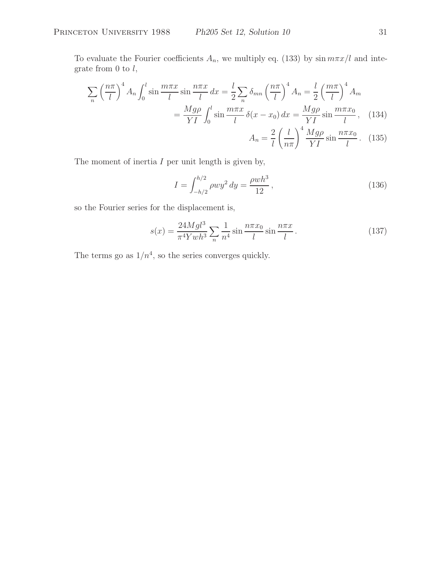To evaluate the Fourier coefficients  $A_n$ , we multiply eq. (133) by  $\sin m\pi x/l$  and integrate from  $0$  to  $l$ ,

$$
\sum_{n} \left(\frac{n\pi}{l}\right)^{4} A_{n} \int_{0}^{l} \sin\frac{m\pi x}{l} \sin\frac{n\pi x}{l} dx = \frac{l}{2} \sum_{n} \delta_{mn} \left(\frac{n\pi}{l}\right)^{4} A_{n} = \frac{l}{2} \left(\frac{m\pi}{l}\right)^{4} A_{m}
$$

$$
= \frac{Mg\rho}{YI} \int_{0}^{l} \sin\frac{m\pi x}{l} \delta(x - x_{0}) dx = \frac{Mg\rho}{YI} \sin\frac{m\pi x_{0}}{l}, \quad (134)
$$

$$
A_{n} = \frac{2}{l} \left(\frac{l}{n\pi}\right)^{4} \frac{Mg\rho}{YI} \sin\frac{n\pi x_{0}}{l}. \quad (135)
$$

The moment of inertia  $I$  per unit length is given by,

$$
I = \int_{-h/2}^{h/2} \rho w y^2 dy = \frac{\rho w h^3}{12},
$$
\n(136)

so the Fourier series for the displacement is,

$$
s(x) = \frac{24Mgl^3}{\pi^4 Ywh^3} \sum_{n} \frac{1}{n^4} \sin \frac{n\pi x_0}{l} \sin \frac{n\pi x}{l}.
$$
 (137)

The terms go as  $1/n^4$ , so the series converges quickly.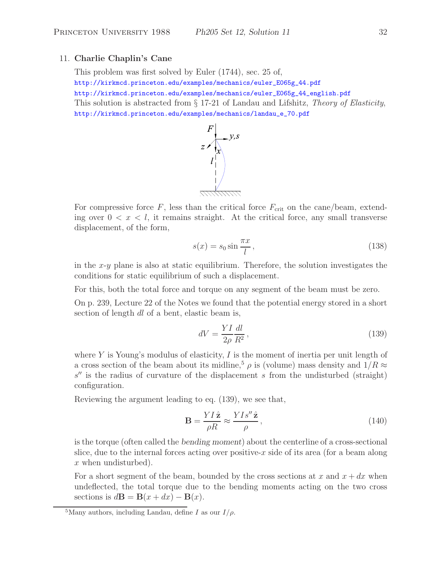### 11. **Charlie Chaplin's Cane**

This problem was first solved by Euler (1744), sec. 25 of, http://kirkmcd.princeton.edu/examples/mechanics/euler\_E065g\_44.pdf http://kirkmcd.princeton.edu/examples/mechanics/euler\_E065g\_44\_english.pdf This solution is abstracted from § 17-21 of Landau and Lifshitz, *Theory of Elasticity*, http://kirkmcd.princeton.edu/examples/mechanics/landau\_e\_70.pdf



For compressive force  $F$ , less than the critical force  $F_{\text{crit}}$  on the cane/beam, extending over  $0 < x < l$ , it remains straight. At the critical force, any small transverse displacement, of the form,

$$
s(x) = s_0 \sin \frac{\pi x}{l},\tag{138}
$$

in the  $x-y$  plane is also at static equilibrium. Therefore, the solution investigates the conditions for static equilibrium of such a displacement.

For this, both the total force and torque on any segment of the beam must be zero.

On p. 239, Lecture 22 of the Notes we found that the potential energy stored in a short section of length dl of a bent, elastic beam is,

$$
dV = \frac{YI}{2\rho} \frac{dl}{R^2},\tag{139}
$$

where Y is Young's modulus of elasticity, I is the moment of inertia per unit length of a cross section of the beam about its midline,<sup>5</sup>  $\rho$  is (volume) mass density and  $1/R \approx$  $s''$  is the radius of curvature of the displacement s from the undisturbed (straight) configuration.

Reviewing the argument leading to eq. (139), we see that,

$$
\mathbf{B} = \frac{YI\hat{\mathbf{z}}}{\rho R} \approx \frac{YIs''\hat{\mathbf{z}}}{\rho},\tag{140}
$$

is the torque (often called the *bending moment*) about the centerline of a cross-sectional slice, due to the internal forces acting over positive-x side of its area (for a beam along x when undisturbed).

For a short segment of the beam, bounded by the cross sections at x and  $x + dx$  when undeflected, the total torque due to the bending moments acting on the two cross sections is  $d\mathbf{B} = \mathbf{B}(x + dx) - \mathbf{B}(x)$ .

<sup>&</sup>lt;sup>5</sup>Many authors, including Landau, define I as our  $I/\rho$ .